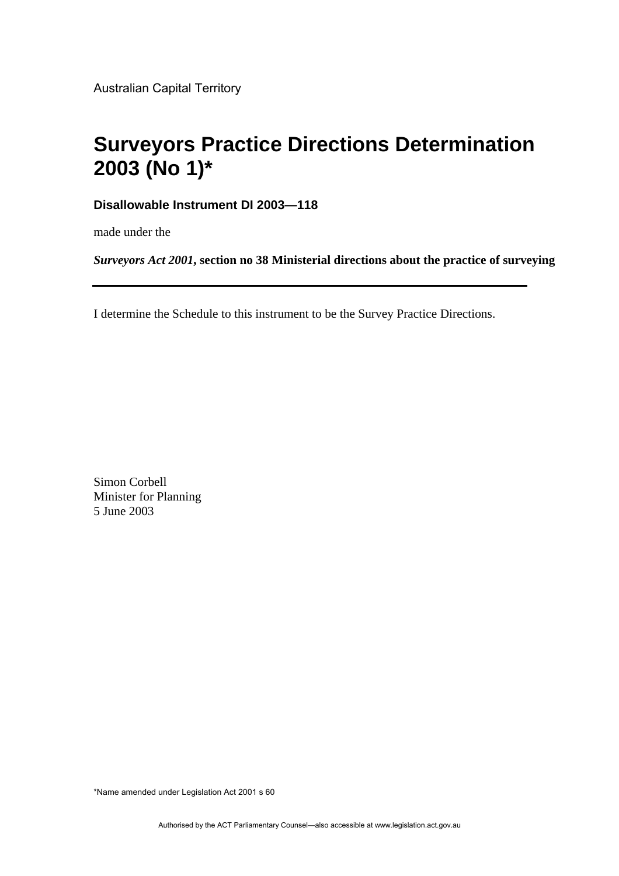Australian Capital Territory

# **Surveyors Practice Directions Determination 2003 (No 1)\***

**Disallowable Instrument DI 2003—118**

made under the

*Surveyors Act 2001***, section no 38 Ministerial directions about the practice of surveying**

I determine the Schedule to this instrument to be the Survey Practice Directions.

Simon Corbell Minister for Planning 5 June 2003

\*Name amended under Legislation Act 2001 s 60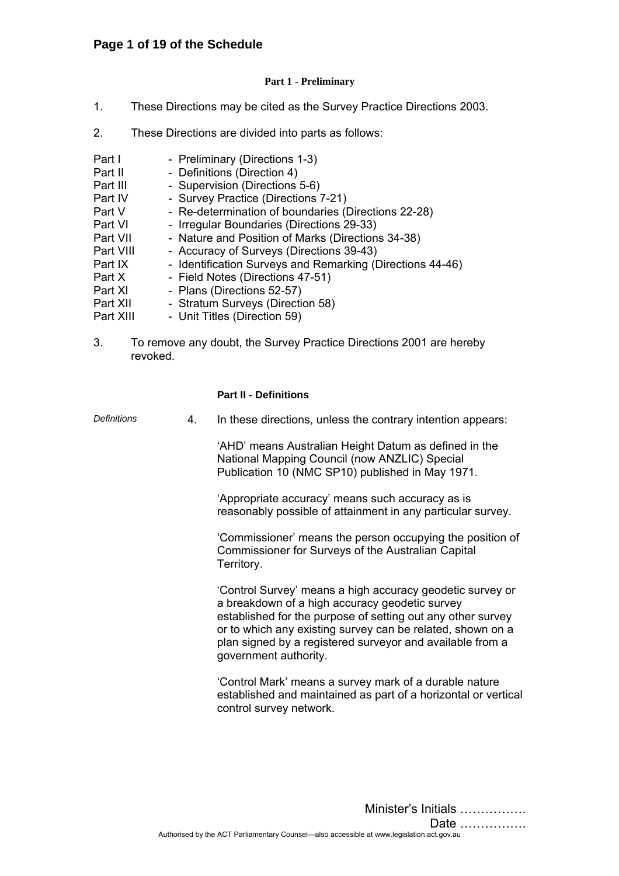## **Page 1 of 19 of the Schedule**

## **Part 1 - Preliminary**

- 1. These Directions may be cited as the Survey Practice Directions 2003.
- 2. These Directions are divided into parts as follows:

| Part I<br>Part II<br>Part III<br>Part IV<br>Part V<br>Part VI<br>Part VII<br>Part VIII<br>Part IX<br>Part X<br>Part XI<br>Part XII | - Preliminary (Directions 1-3)<br>- Definitions (Direction 4)<br>- Supervision (Directions 5-6)<br>- Survey Practice (Directions 7-21)<br>- Re-determination of boundaries (Directions 22-28)<br>- Irregular Boundaries (Directions 29-33)<br>- Nature and Position of Marks (Directions 34-38)<br>- Accuracy of Surveys (Directions 39-43)<br>- Identification Surveys and Remarking (Directions 44-46)<br>- Field Notes (Directions 47-51)<br>- Plans (Directions 52-57)<br>- Stratum Surveys (Direction 58) |
|------------------------------------------------------------------------------------------------------------------------------------|----------------------------------------------------------------------------------------------------------------------------------------------------------------------------------------------------------------------------------------------------------------------------------------------------------------------------------------------------------------------------------------------------------------------------------------------------------------------------------------------------------------|
| Part XIII                                                                                                                          | - Unit Titles (Direction 59)                                                                                                                                                                                                                                                                                                                                                                                                                                                                                   |
|                                                                                                                                    |                                                                                                                                                                                                                                                                                                                                                                                                                                                                                                                |

3. To remove any doubt, the Survey Practice Directions 2001 are hereby revoked.

## **Part II - Definitions**

*Definitions* 4. In these directions, unless the contrary intention appears:

 'AHD' means Australian Height Datum as defined in the National Mapping Council (now ANZLIC) Special Publication 10 (NMC SP10) published in May 1971.

 'Appropriate accuracy' means such accuracy as is reasonably possible of attainment in any particular survey.

 'Commissioner' means the person occupying the position of Commissioner for Surveys of the Australian Capital Territory.

 'Control Survey' means a high accuracy geodetic survey or a breakdown of a high accuracy geodetic survey established for the purpose of setting out any other survey or to which any existing survey can be related, shown on a plan signed by a registered surveyor and available from a government authority.

 'Control Mark' means a survey mark of a durable nature established and maintained as part of a horizontal or vertical control survey network.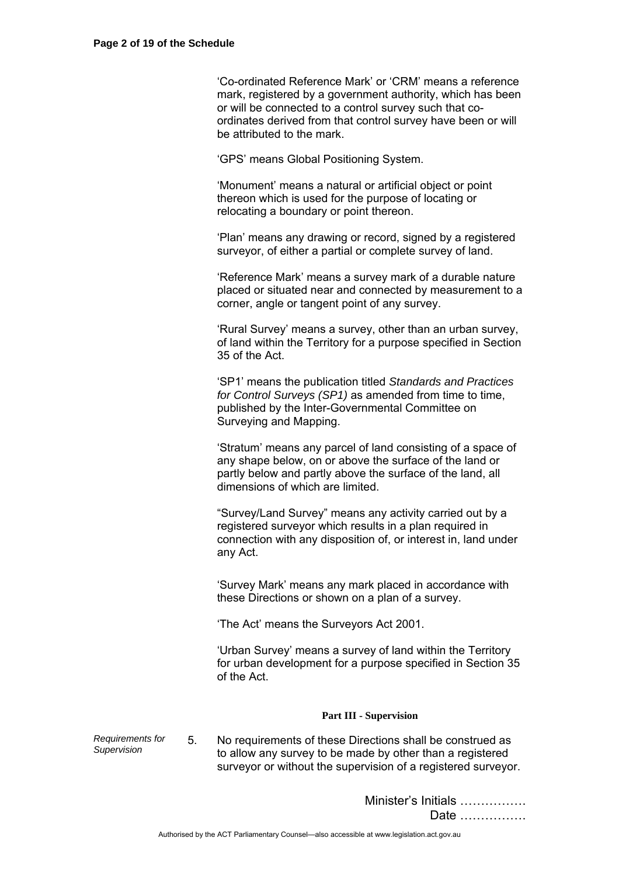'Co-ordinated Reference Mark' or 'CRM' means a reference mark, registered by a government authority, which has been or will be connected to a control survey such that coordinates derived from that control survey have been or will be attributed to the mark.

'GPS' means Global Positioning System.

 'Monument' means a natural or artificial object or point thereon which is used for the purpose of locating or relocating a boundary or point thereon.

 'Plan' means any drawing or record, signed by a registered surveyor, of either a partial or complete survey of land.

 'Reference Mark' means a survey mark of a durable nature placed or situated near and connected by measurement to a corner, angle or tangent point of any survey.

 'Rural Survey' means a survey, other than an urban survey, of land within the Territory for a purpose specified in Section 35 of the Act.

 'SP1' means the publication titled *Standards and Practices for Control Surveys (SP1)* as amended from time to time, published by the Inter-Governmental Committee on Surveying and Mapping.

 'Stratum' means any parcel of land consisting of a space of any shape below, on or above the surface of the land or partly below and partly above the surface of the land, all dimensions of which are limited.

 "Survey/Land Survey" means any activity carried out by a registered surveyor which results in a plan required in connection with any disposition of, or interest in, land under any Act.

 'Survey Mark' means any mark placed in accordance with these Directions or shown on a plan of a survey.

'The Act' means the Surveyors Act 2001.

 'Urban Survey' means a survey of land within the Territory for urban development for a purpose specified in Section 35 of the Act.

## **Part III - Supervision**

*Requirements for Supervision* 5. No requirements of these Directions shall be construed as to allow any survey to be made by other than a registered surveyor or without the supervision of a registered surveyor.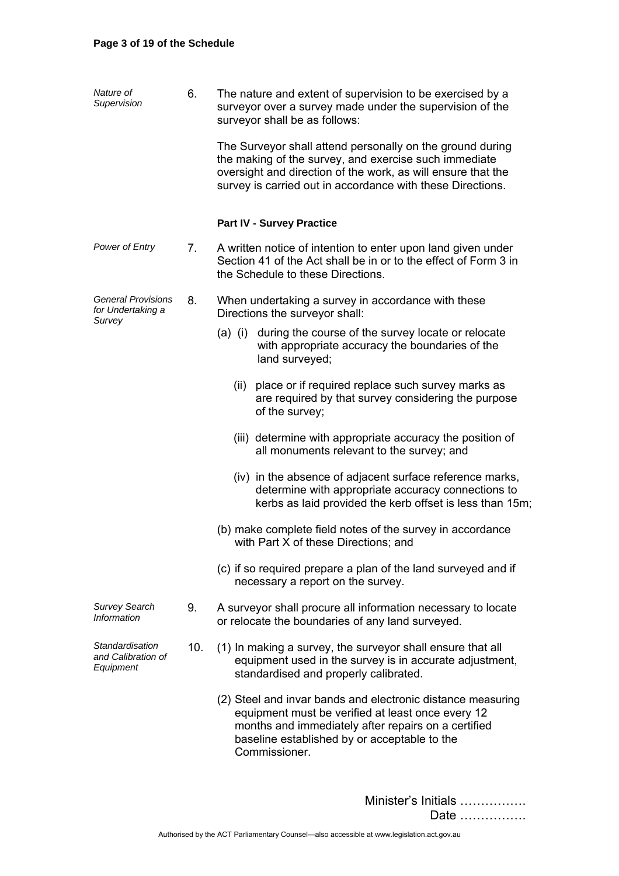| Nature of<br>Supervision                                 | 6.  | The nature and extent of supervision to be exercised by a<br>surveyor over a survey made under the supervision of the<br>surveyor shall be as follows:                                                                                           |
|----------------------------------------------------------|-----|--------------------------------------------------------------------------------------------------------------------------------------------------------------------------------------------------------------------------------------------------|
|                                                          |     | The Surveyor shall attend personally on the ground during<br>the making of the survey, and exercise such immediate<br>oversight and direction of the work, as will ensure that the<br>survey is carried out in accordance with these Directions. |
|                                                          |     | <b>Part IV - Survey Practice</b>                                                                                                                                                                                                                 |
| Power of Entry                                           | 7.  | A written notice of intention to enter upon land given under<br>Section 41 of the Act shall be in or to the effect of Form 3 in<br>the Schedule to these Directions.                                                                             |
| <b>General Provisions</b><br>for Undertaking a<br>Survey | 8.  | When undertaking a survey in accordance with these<br>Directions the surveyor shall:                                                                                                                                                             |
|                                                          |     | (a) (i) during the course of the survey locate or relocate<br>with appropriate accuracy the boundaries of the<br>land surveyed;                                                                                                                  |
|                                                          |     | (ii) place or if required replace such survey marks as<br>are required by that survey considering the purpose<br>of the survey;                                                                                                                  |
|                                                          |     | (iii) determine with appropriate accuracy the position of<br>all monuments relevant to the survey; and                                                                                                                                           |
|                                                          |     | (iv) in the absence of adjacent surface reference marks,<br>determine with appropriate accuracy connections to<br>kerbs as laid provided the kerb offset is less than 15m;                                                                       |
|                                                          |     | (b) make complete field notes of the survey in accordance<br>with Part X of these Directions; and                                                                                                                                                |
|                                                          |     | (c) if so required prepare a plan of the land surveyed and if<br>necessary a report on the survey.                                                                                                                                               |
| <b>Survey Search</b><br><b>Information</b>               | 9.  | A surveyor shall procure all information necessary to locate<br>or relocate the boundaries of any land surveyed.                                                                                                                                 |
| Standardisation<br>and Calibration of<br>Equipment       | 10. | (1) In making a survey, the surveyor shall ensure that all<br>equipment used in the survey is in accurate adjustment,<br>standardised and properly calibrated.                                                                                   |
|                                                          |     | (2) Steel and invar bands and electronic distance measuring<br>equipment must be verified at least once every 12<br>months and immediately after repairs on a certified<br>baseline established by or acceptable to the<br>Commissioner.         |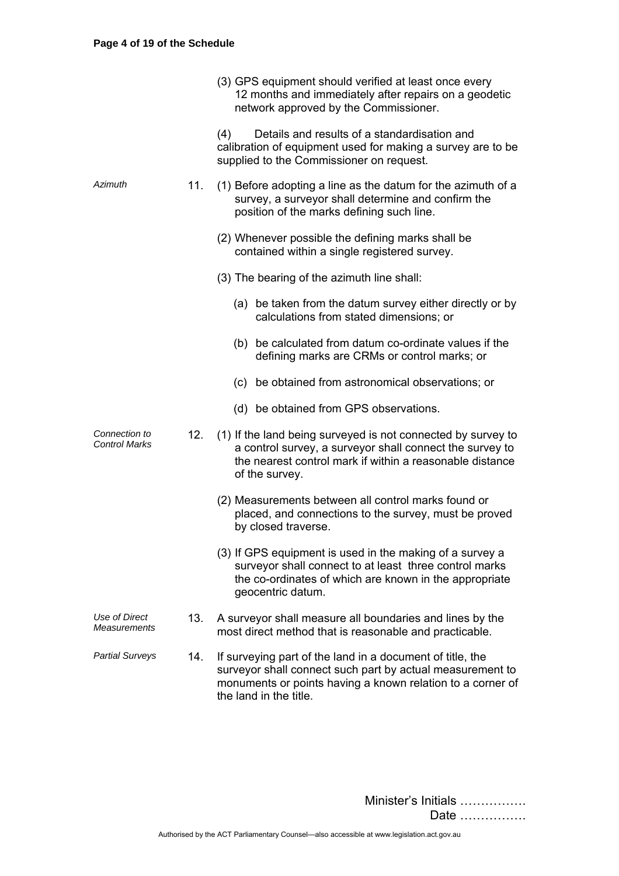|                                       |     | (3) GPS equipment should verified at least once every<br>12 months and immediately after repairs on a geodetic<br>network approved by the Commissioner.                                                        |
|---------------------------------------|-----|----------------------------------------------------------------------------------------------------------------------------------------------------------------------------------------------------------------|
|                                       |     | Details and results of a standardisation and<br>(4)<br>calibration of equipment used for making a survey are to be<br>supplied to the Commissioner on request.                                                 |
| Azimuth                               | 11. | (1) Before adopting a line as the datum for the azimuth of a<br>survey, a surveyor shall determine and confirm the<br>position of the marks defining such line.                                                |
|                                       |     | (2) Whenever possible the defining marks shall be<br>contained within a single registered survey.                                                                                                              |
|                                       |     | (3) The bearing of the azimuth line shall:                                                                                                                                                                     |
|                                       |     | (a) be taken from the datum survey either directly or by<br>calculations from stated dimensions; or                                                                                                            |
|                                       |     | (b) be calculated from datum co-ordinate values if the<br>defining marks are CRMs or control marks; or                                                                                                         |
|                                       |     | (c) be obtained from astronomical observations; or                                                                                                                                                             |
|                                       |     | (d) be obtained from GPS observations.                                                                                                                                                                         |
| Connection to<br><b>Control Marks</b> | 12. | (1) If the land being surveyed is not connected by survey to<br>a control survey, a surveyor shall connect the survey to<br>the nearest control mark if within a reasonable distance<br>of the survey.         |
|                                       |     | (2) Measurements between all control marks found or<br>placed, and connections to the survey, must be proved<br>by closed traverse.                                                                            |
|                                       |     | (3) If GPS equipment is used in the making of a survey a<br>surveyor shall connect to at least three control marks<br>the co-ordinates of which are known in the appropriate<br>geocentric datum.              |
| Use of Direct<br>Measurements         | 13. | A surveyor shall measure all boundaries and lines by the<br>most direct method that is reasonable and practicable.                                                                                             |
| <b>Partial Surveys</b>                | 14. | If surveying part of the land in a document of title, the<br>surveyor shall connect such part by actual measurement to<br>monuments or points having a known relation to a corner of<br>the land in the title. |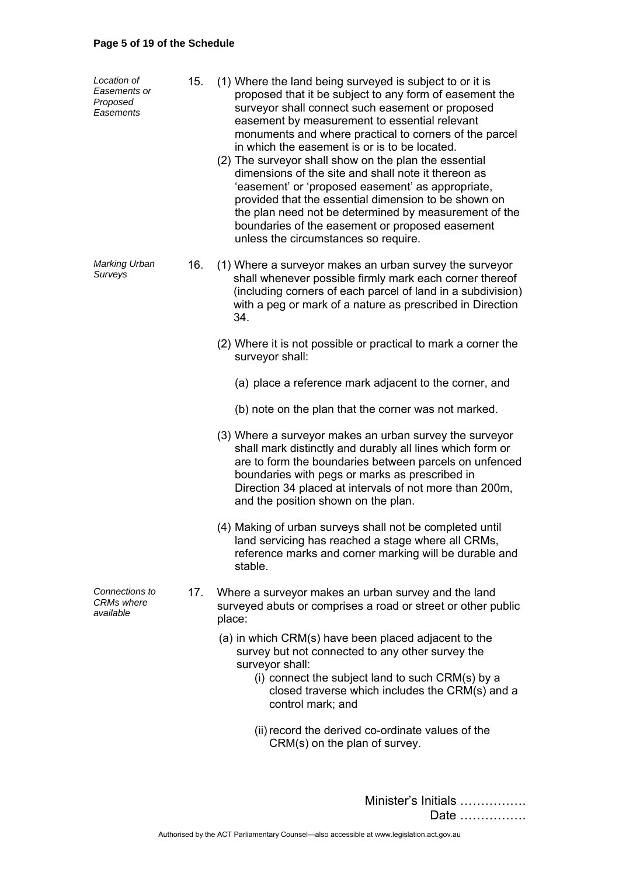# **Page 5 of 19 of the Schedule**

| Location of<br>Easements or<br>Proposed<br>Easements | 15. | (1) Where the land being surveyed is subject to or it is<br>proposed that it be subject to any form of easement the<br>surveyor shall connect such easement or proposed<br>easement by measurement to essential relevant<br>monuments and where practical to corners of the parcel<br>in which the easement is or is to be located.<br>(2) The surveyor shall show on the plan the essential<br>dimensions of the site and shall note it thereon as<br>'easement' or 'proposed easement' as appropriate,<br>provided that the essential dimension to be shown on<br>the plan need not be determined by measurement of the<br>boundaries of the easement or proposed easement<br>unless the circumstances so require. |
|------------------------------------------------------|-----|----------------------------------------------------------------------------------------------------------------------------------------------------------------------------------------------------------------------------------------------------------------------------------------------------------------------------------------------------------------------------------------------------------------------------------------------------------------------------------------------------------------------------------------------------------------------------------------------------------------------------------------------------------------------------------------------------------------------|
| Marking Urban<br>Surveys                             | 16. | (1) Where a surveyor makes an urban survey the surveyor<br>shall whenever possible firmly mark each corner thereof<br>(including corners of each parcel of land in a subdivision)<br>with a peg or mark of a nature as prescribed in Direction<br>34.                                                                                                                                                                                                                                                                                                                                                                                                                                                                |
|                                                      |     | (2) Where it is not possible or practical to mark a corner the<br>surveyor shall:                                                                                                                                                                                                                                                                                                                                                                                                                                                                                                                                                                                                                                    |
|                                                      |     | (a) place a reference mark adjacent to the corner, and                                                                                                                                                                                                                                                                                                                                                                                                                                                                                                                                                                                                                                                               |
|                                                      |     | (b) note on the plan that the corner was not marked.                                                                                                                                                                                                                                                                                                                                                                                                                                                                                                                                                                                                                                                                 |
|                                                      |     | (3) Where a surveyor makes an urban survey the surveyor<br>shall mark distinctly and durably all lines which form or<br>are to form the boundaries between parcels on unfenced<br>boundaries with pegs or marks as prescribed in<br>Direction 34 placed at intervals of not more than 200m,<br>and the position shown on the plan.                                                                                                                                                                                                                                                                                                                                                                                   |
|                                                      |     | (4) Making of urban surveys shall not be completed until<br>land servicing has reached a stage where all CRMs.<br>reference marks and corner marking will be durable and<br>stable.                                                                                                                                                                                                                                                                                                                                                                                                                                                                                                                                  |
| Connections to<br>CRMs where<br>available            | 17. | Where a surveyor makes an urban survey and the land<br>surveyed abuts or comprises a road or street or other public<br>place:                                                                                                                                                                                                                                                                                                                                                                                                                                                                                                                                                                                        |
|                                                      |     | (a) in which CRM(s) have been placed adjacent to the<br>survey but not connected to any other survey the<br>surveyor shall:                                                                                                                                                                                                                                                                                                                                                                                                                                                                                                                                                                                          |
|                                                      |     | (i) connect the subject land to such CRM(s) by a<br>closed traverse which includes the CRM(s) and a<br>control mark; and                                                                                                                                                                                                                                                                                                                                                                                                                                                                                                                                                                                             |
|                                                      |     | (ii) record the derived co-ordinate values of the<br>CRM(s) on the plan of survey.                                                                                                                                                                                                                                                                                                                                                                                                                                                                                                                                                                                                                                   |
|                                                      |     |                                                                                                                                                                                                                                                                                                                                                                                                                                                                                                                                                                                                                                                                                                                      |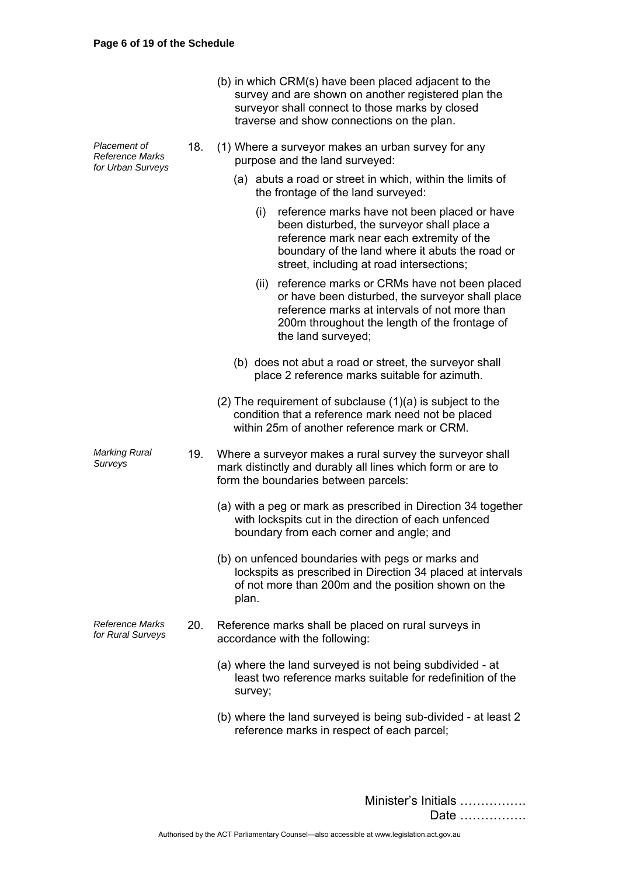| (b) in which CRM(s) have been placed adjacent to the |
|------------------------------------------------------|
| survey and are shown on another registered plan the  |
| surveyor shall connect to those marks by closed      |
| traverse and show connections on the plan.           |

*Placement of Reference Marks for Urban Surveys*  18. (1) Where a surveyor makes an urban survey for any purpose and the land surveyed: (a) abuts a road or street in which, within the limits of the frontage of the land surveyed: (i) reference marks have not been placed or have been disturbed, the surveyor shall place a reference mark near each extremity of the boundary of the land where it abuts the road or street, including at road intersections; (ii) reference marks or CRMs have not been placed or have been disturbed, the surveyor shall place reference marks at intervals of not more than 200m throughout the length of the frontage of the land surveyed; (b) does not abut a road or street, the surveyor shall place 2 reference marks suitable for azimuth. (2) The requirement of subclause (1)(a) is subject to the condition that a reference mark need not be placed within 25m of another reference mark or CRM. *Marking Rural Surveys* 19. Where a surveyor makes a rural survey the surveyor shall mark distinctly and durably all lines which form or are to form the boundaries between parcels: (a) with a peg or mark as prescribed in Direction 34 together with lockspits cut in the direction of each unfenced boundary from each corner and angle; and (b) on unfenced boundaries with pegs or marks and lockspits as prescribed in Direction 34 placed at intervals of not more than 200m and the position shown on the plan. *Reference Marks for Rural Surveys* 20. Reference marks shall be placed on rural surveys in accordance with the following: (a) where the land surveyed is not being subdivided - at least two reference marks suitable for redefinition of the survey; (b) where the land surveyed is being sub-divided - at least 2 reference marks in respect of each parcel;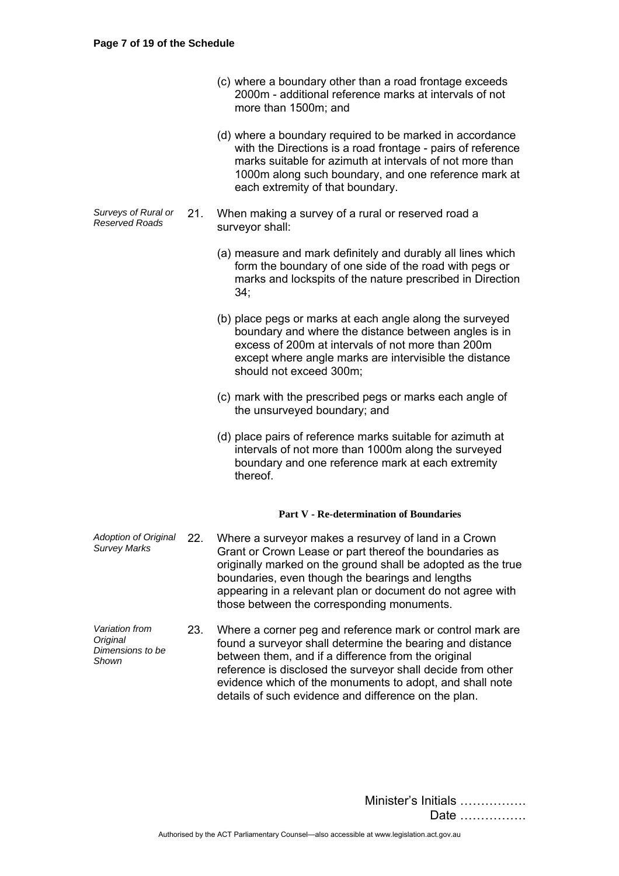*Original* 

*Shown* 

- (c) where a boundary other than a road frontage exceeds 2000m - additional reference marks at intervals of not more than 1500m; and
- (d) where a boundary required to be marked in accordance with the Directions is a road frontage - pairs of reference marks suitable for azimuth at intervals of not more than 1000m along such boundary, and one reference mark at each extremity of that boundary.
- *Surveys of Rural or Reserved Roads* 21. When making a survey of a rural or reserved road a surveyor shall:
	- (a) measure and mark definitely and durably all lines which form the boundary of one side of the road with pegs or marks and lockspits of the nature prescribed in Direction 34;
	- (b) place pegs or marks at each angle along the surveyed boundary and where the distance between angles is in excess of 200m at intervals of not more than 200m except where angle marks are intervisible the distance should not exceed 300m;
	- (c) mark with the prescribed pegs or marks each angle of the unsurveyed boundary; and
	- (d) place pairs of reference marks suitable for azimuth at intervals of not more than 1000m along the surveyed boundary and one reference mark at each extremity thereof.

## **Part V - Re-determination of Boundaries**

- *Adoption of Original Survey Marks* 22. Where a surveyor makes a resurvey of land in a Crown Grant or Crown Lease or part thereof the boundaries as originally marked on the ground shall be adopted as the true boundaries, even though the bearings and lengths appearing in a relevant plan or document do not agree with those between the corresponding monuments.
- *Variation from Dimensions to be*  23. Where a corner peg and reference mark or control mark are found a surveyor shall determine the bearing and distance between them, and if a difference from the original reference is disclosed the surveyor shall decide from other evidence which of the monuments to adopt, and shall note details of such evidence and difference on the plan.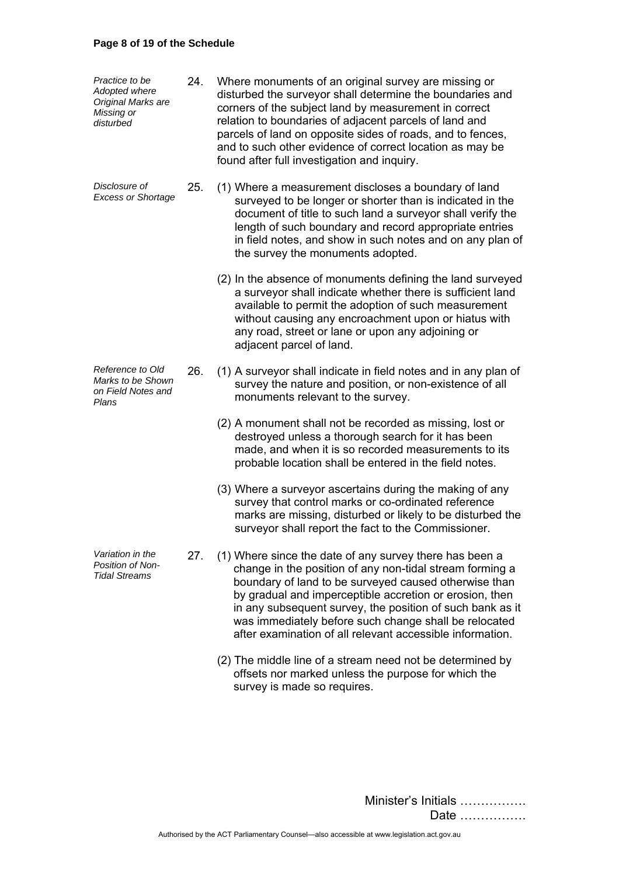## **Page 8 of 19 of the Schedule**

| Practice to be<br>Adopted where<br>Original Marks are<br>Missing or<br>disturbed | 24. | Where monuments of an original survey are missing or<br>disturbed the surveyor shall determine the boundaries and<br>corners of the subject land by measurement in correct<br>relation to boundaries of adjacent parcels of land and<br>parcels of land on opposite sides of roads, and to fences,<br>and to such other evidence of correct location as may be<br>found after full investigation and inquiry.              |
|----------------------------------------------------------------------------------|-----|----------------------------------------------------------------------------------------------------------------------------------------------------------------------------------------------------------------------------------------------------------------------------------------------------------------------------------------------------------------------------------------------------------------------------|
| Disclosure of<br><b>Excess or Shortage</b>                                       | 25. | (1) Where a measurement discloses a boundary of land<br>surveyed to be longer or shorter than is indicated in the<br>document of title to such land a surveyor shall verify the<br>length of such boundary and record appropriate entries<br>in field notes, and show in such notes and on any plan of<br>the survey the monuments adopted.                                                                                |
|                                                                                  |     | (2) In the absence of monuments defining the land surveyed<br>a surveyor shall indicate whether there is sufficient land<br>available to permit the adoption of such measurement<br>without causing any encroachment upon or hiatus with<br>any road, street or lane or upon any adjoining or<br>adjacent parcel of land.                                                                                                  |
| Reference to Old<br>Marks to be Shown<br>on Field Notes and<br>Plans             | 26. | (1) A surveyor shall indicate in field notes and in any plan of<br>survey the nature and position, or non-existence of all<br>monuments relevant to the survey.                                                                                                                                                                                                                                                            |
|                                                                                  |     | (2) A monument shall not be recorded as missing, lost or<br>destroyed unless a thorough search for it has been<br>made, and when it is so recorded measurements to its<br>probable location shall be entered in the field notes.                                                                                                                                                                                           |
|                                                                                  |     | (3) Where a surveyor ascertains during the making of any<br>survey that control marks or co-ordinated reference<br>marks are missing, disturbed or likely to be disturbed the<br>surveyor shall report the fact to the Commissioner.                                                                                                                                                                                       |
| Variation in the<br><b>Position of Non-</b><br><b>Tidal Streams</b>              | 27. | (1) Where since the date of any survey there has been a<br>change in the position of any non-tidal stream forming a<br>boundary of land to be surveyed caused otherwise than<br>by gradual and imperceptible accretion or erosion, then<br>in any subsequent survey, the position of such bank as it<br>was immediately before such change shall be relocated<br>after examination of all relevant accessible information. |
|                                                                                  |     | (2) The middle line of a stream need not be determined by                                                                                                                                                                                                                                                                                                                                                                  |

Minister's Initials ……………. Date …………….

survey is made so requires.

offsets nor marked unless the purpose for which the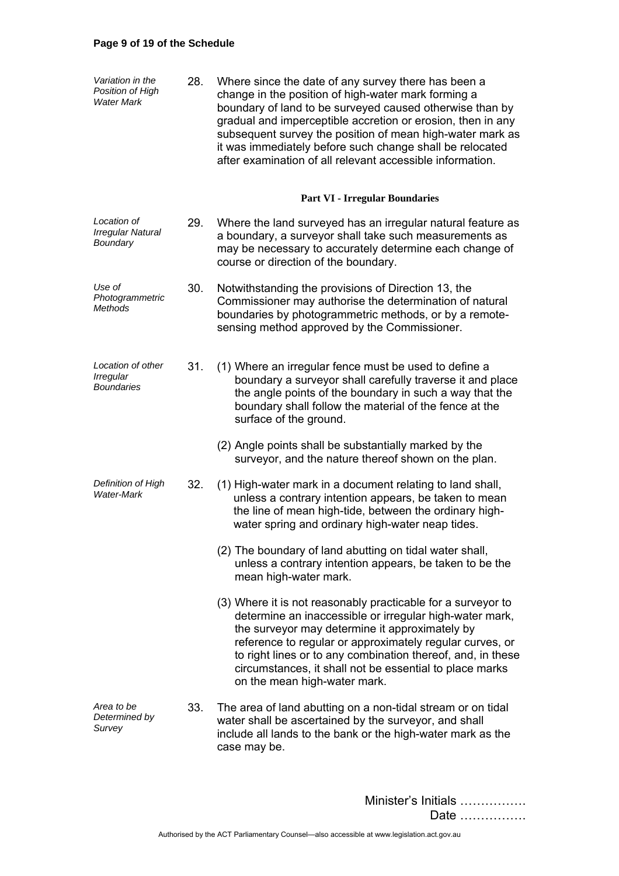# **Page 9 of 19 of the Schedule**

| Variation in the<br>Position of High<br><b>Water Mark</b> | 28. | Where since the date of any survey there has been a<br>change in the position of high-water mark forming a<br>boundary of land to be surveyed caused otherwise than by<br>gradual and imperceptible accretion or erosion, then in any<br>subsequent survey the position of mean high-water mark as<br>it was immediately before such change shall be relocated<br>after examination of all relevant accessible information. |
|-----------------------------------------------------------|-----|-----------------------------------------------------------------------------------------------------------------------------------------------------------------------------------------------------------------------------------------------------------------------------------------------------------------------------------------------------------------------------------------------------------------------------|
|                                                           |     | <b>Part VI - Irregular Boundaries</b>                                                                                                                                                                                                                                                                                                                                                                                       |
| Location of<br>Irregular Natural<br>Boundary              | 29. | Where the land surveyed has an irregular natural feature as<br>a boundary, a surveyor shall take such measurements as<br>may be necessary to accurately determine each change of<br>course or direction of the boundary.                                                                                                                                                                                                    |
| Use of<br>Photogrammetric<br>Methods                      | 30. | Notwithstanding the provisions of Direction 13, the<br>Commissioner may authorise the determination of natural<br>boundaries by photogrammetric methods, or by a remote-<br>sensing method approved by the Commissioner.                                                                                                                                                                                                    |
| Location of other<br>Irregular<br><b>Boundaries</b>       | 31. | (1) Where an irregular fence must be used to define a<br>boundary a surveyor shall carefully traverse it and place<br>the angle points of the boundary in such a way that the<br>boundary shall follow the material of the fence at the<br>surface of the ground.                                                                                                                                                           |
|                                                           |     | (2) Angle points shall be substantially marked by the<br>surveyor, and the nature thereof shown on the plan.                                                                                                                                                                                                                                                                                                                |
| Definition of High<br><b>Water-Mark</b>                   | 32. | (1) High-water mark in a document relating to land shall,<br>unless a contrary intention appears, be taken to mean<br>the line of mean high-tide, between the ordinary high-<br>water spring and ordinary high-water neap tides.                                                                                                                                                                                            |
|                                                           |     | (2) The boundary of land abutting on tidal water shall,<br>unless a contrary intention appears, be taken to be the<br>mean high-water mark.                                                                                                                                                                                                                                                                                 |
|                                                           |     | (3) Where it is not reasonably practicable for a surveyor to<br>determine an inaccessible or irregular high-water mark,<br>the surveyor may determine it approximately by<br>reference to regular or approximately regular curves, or<br>to right lines or to any combination thereof, and, in these<br>circumstances, it shall not be essential to place marks<br>on the mean high-water mark.                             |
| Area to be<br>Determined by<br>Survey                     | 33. | The area of land abutting on a non-tidal stream or on tidal<br>water shall be ascertained by the surveyor, and shall<br>include all lands to the bank or the high-water mark as the<br>case may be.                                                                                                                                                                                                                         |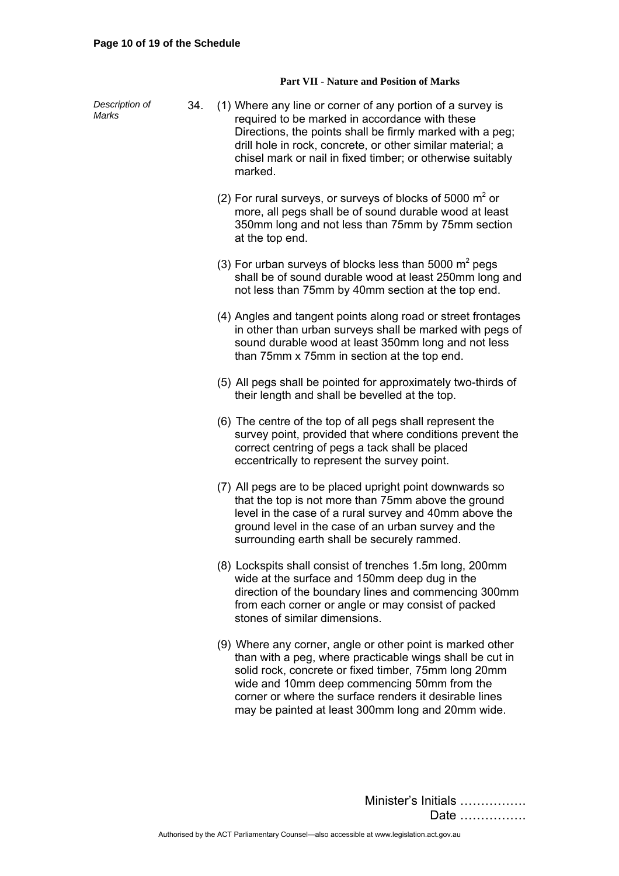#### **Part VII - Nature and Position of Marks**

*Description of Description of* 34. (1) Where any line or corner of any portion of a survey is Marks required to be marked in accordance with these Directions, the points shall be firmly marked with a peg; drill hole in rock, concrete, or other similar material; a chisel mark or nail in fixed timber; or otherwise suitably marked. (2) For rural surveys, or surveys of blocks of 5000  $m^2$  or more, all pegs shall be of sound durable wood at least 350mm long and not less than 75mm by 75mm section at the top end. (3) For urban surveys of blocks less than 5000  $m^2$  pegs shall be of sound durable wood at least 250mm long and not less than 75mm by 40mm section at the top end. (4) Angles and tangent points along road or street frontages in other than urban surveys shall be marked with pegs of sound durable wood at least 350mm long and not less than 75mm x 75mm in section at the top end. (5) All pegs shall be pointed for approximately two-thirds of their length and shall be bevelled at the top. (6) The centre of the top of all pegs shall represent the survey point, provided that where conditions prevent the correct centring of pegs a tack shall be placed eccentrically to represent the survey point. (7) All pegs are to be placed upright point downwards so that the top is not more than 75mm above the ground level in the case of a rural survey and 40mm above the ground level in the case of an urban survey and the surrounding earth shall be securely rammed. (8) Lockspits shall consist of trenches 1.5m long, 200mm wide at the surface and 150mm deep dug in the direction of the boundary lines and commencing 300mm from each corner or angle or may consist of packed stones of similar dimensions. (9) Where any corner, angle or other point is marked other than with a peg, where practicable wings shall be cut in solid rock, concrete or fixed timber, 75mm long 20mm wide and 10mm deep commencing 50mm from the corner or where the surface renders it desirable lines may be painted at least 300mm long and 20mm wide.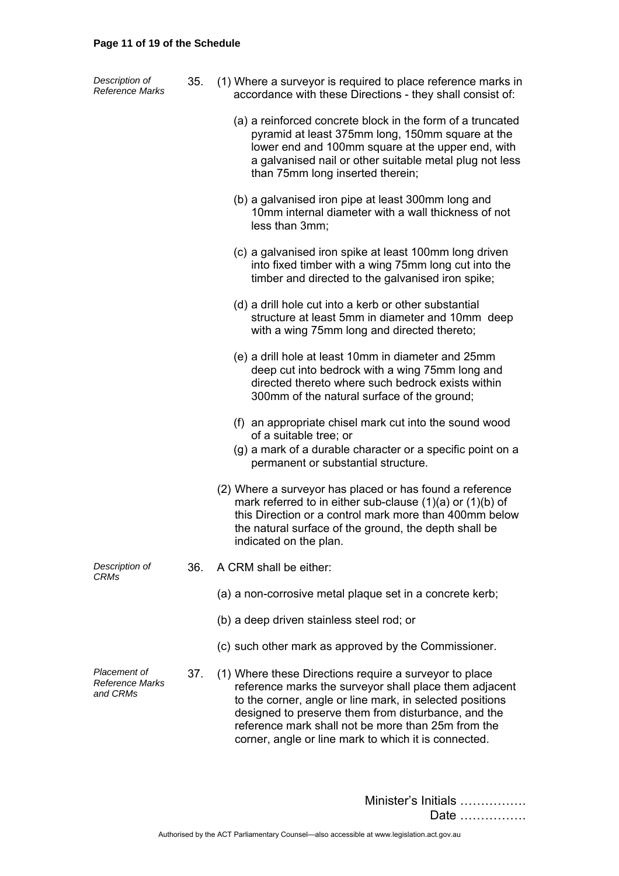#### **Page 11 of 19 of the Schedule**

*Description of* 

| Description of  | (1) Where a surveyor is required to place reference marks in |
|-----------------|--------------------------------------------------------------|
| Reference Marks | accordance with these Directions - they shall consist of:    |

- (a) a reinforced concrete block in the form of a truncated pyramid at least 375mm long, 150mm square at the lower end and 100mm square at the upper end, with a galvanised nail or other suitable metal plug not less than 75mm long inserted therein;
- (b) a galvanised iron pipe at least 300mm long and 10mm internal diameter with a wall thickness of not less than 3mm;
- (c) a galvanised iron spike at least 100mm long driven into fixed timber with a wing 75mm long cut into the timber and directed to the galvanised iron spike;
- (d) a drill hole cut into a kerb or other substantial structure at least 5mm in diameter and 10mm deep with a wing 75mm long and directed thereto;
- (e) a drill hole at least 10mm in diameter and 25mm deep cut into bedrock with a wing 75mm long and directed thereto where such bedrock exists within 300mm of the natural surface of the ground;
- (f) an appropriate chisel mark cut into the sound wood of a suitable tree; or
- (g) a mark of a durable character or a specific point on a permanent or substantial structure.
- (2) Where a surveyor has placed or has found a reference mark referred to in either sub-clause (1)(a) or (1)(b) of this Direction or a control mark more than 400mm below the natural surface of the ground, the depth shall be indicated on the plan.

*Description of CRMs* 

- 36. A CRM shall be either:
	- (a) a non-corrosive metal plaque set in a concrete kerb;
	- (b) a deep driven stainless steel rod; or
	- (c) such other mark as approved by the Commissioner.

37. (1) Where these Directions require a surveyor to place reference marks the surveyor shall place them adjacent to the corner, angle or line mark, in selected positions designed to preserve them from disturbance, and the reference mark shall not be more than 25m from the corner, angle or line mark to which it is connected.

*Reference Marks and CRMs* 

*Placement of*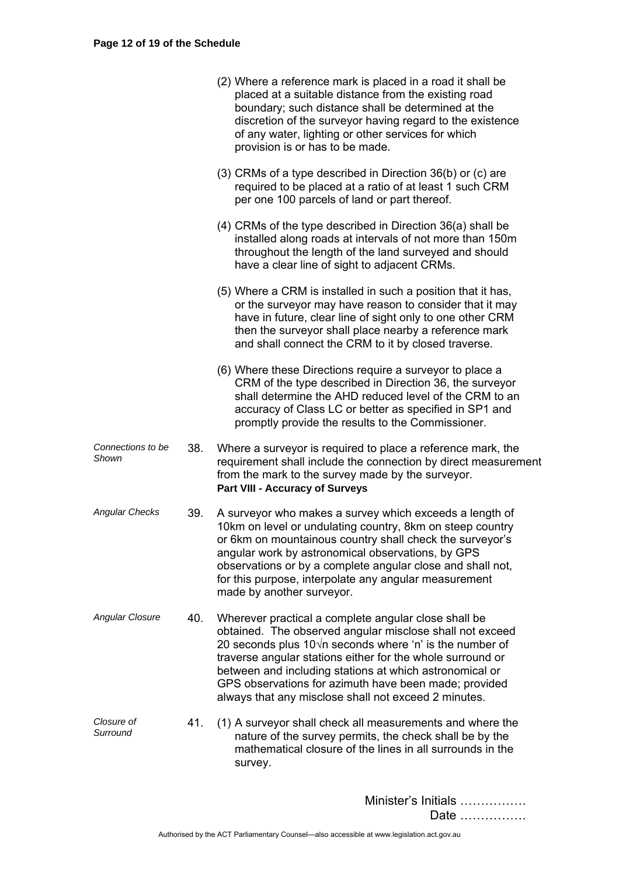|                            |     | (2) Where a reference mark is placed in a road it shall be<br>placed at a suitable distance from the existing road<br>boundary; such distance shall be determined at the<br>discretion of the surveyor having regard to the existence<br>of any water, lighting or other services for which<br>provision is or has to be made.                                                                                                |
|----------------------------|-----|-------------------------------------------------------------------------------------------------------------------------------------------------------------------------------------------------------------------------------------------------------------------------------------------------------------------------------------------------------------------------------------------------------------------------------|
|                            |     | (3) CRMs of a type described in Direction 36(b) or (c) are<br>required to be placed at a ratio of at least 1 such CRM<br>per one 100 parcels of land or part thereof.                                                                                                                                                                                                                                                         |
|                            |     | $(4)$ CRMs of the type described in Direction 36(a) shall be<br>installed along roads at intervals of not more than 150m<br>throughout the length of the land surveyed and should<br>have a clear line of sight to adjacent CRMs.                                                                                                                                                                                             |
|                            |     | (5) Where a CRM is installed in such a position that it has,<br>or the surveyor may have reason to consider that it may<br>have in future, clear line of sight only to one other CRM<br>then the surveyor shall place nearby a reference mark<br>and shall connect the CRM to it by closed traverse.                                                                                                                          |
|                            |     | (6) Where these Directions require a surveyor to place a<br>CRM of the type described in Direction 36, the surveyor<br>shall determine the AHD reduced level of the CRM to an<br>accuracy of Class LC or better as specified in SP1 and<br>promptly provide the results to the Commissioner.                                                                                                                                  |
| Connections to be<br>Shown | 38. | Where a surveyor is required to place a reference mark, the<br>requirement shall include the connection by direct measurement<br>from the mark to the survey made by the surveyor.<br><b>Part VIII - Accuracy of Surveys</b>                                                                                                                                                                                                  |
| <b>Angular Checks</b>      | 39. | A surveyor who makes a survey which exceeds a length of<br>10km on level or undulating country, 8km on steep country<br>or 6km on mountainous country shall check the surveyor's<br>angular work by astronomical observations, by GPS<br>observations or by a complete angular close and shall not,<br>for this purpose, interpolate any angular measurement<br>made by another surveyor.                                     |
| <b>Angular Closure</b>     | 40. | Wherever practical a complete angular close shall be<br>obtained. The observed angular misclose shall not exceed<br>20 seconds plus $10\sqrt{n}$ seconds where 'n' is the number of<br>traverse angular stations either for the whole surround or<br>between and including stations at which astronomical or<br>GPS observations for azimuth have been made; provided<br>always that any misclose shall not exceed 2 minutes. |
| Closure of<br>Surround     | 41. | (1) A surveyor shall check all measurements and where the<br>nature of the survey permits, the check shall be by the<br>mathematical closure of the lines in all surrounds in the<br>survey.                                                                                                                                                                                                                                  |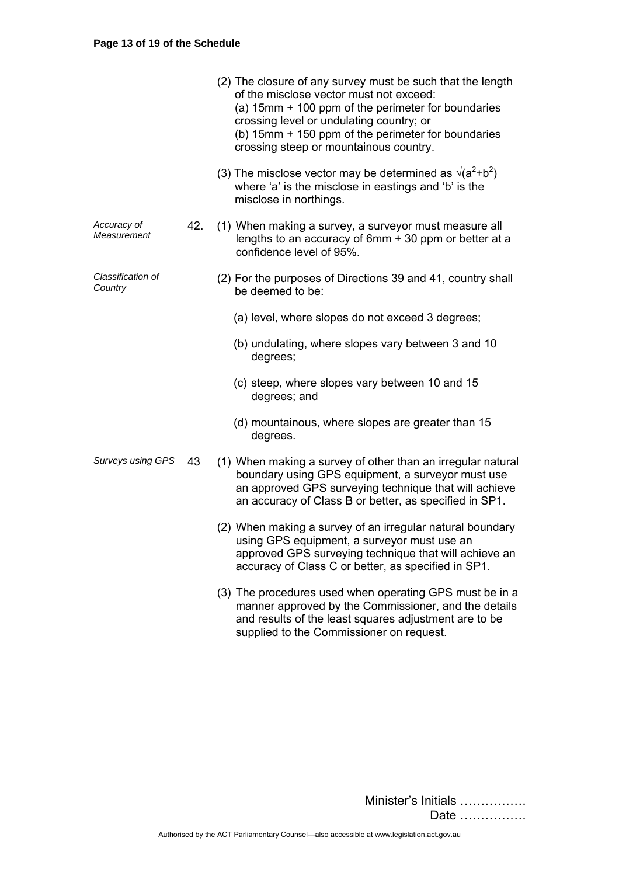|                              |     | (2) The closure of any survey must be such that the length<br>of the misclose vector must not exceed:<br>(a) 15mm + 100 ppm of the perimeter for boundaries<br>crossing level or undulating country; or<br>(b) 15mm + 150 ppm of the perimeter for boundaries<br>crossing steep or mountainous country. |
|------------------------------|-----|---------------------------------------------------------------------------------------------------------------------------------------------------------------------------------------------------------------------------------------------------------------------------------------------------------|
|                              |     | (3) The misclose vector may be determined as $\sqrt{(a^2+b^2)}$<br>where 'a' is the misclose in eastings and 'b' is the<br>misclose in northings.                                                                                                                                                       |
| Accuracy of<br>Measurement   | 42. | (1) When making a survey, a surveyor must measure all<br>lengths to an accuracy of 6mm + 30 ppm or better at a<br>confidence level of 95%.                                                                                                                                                              |
| Classification of<br>Country |     | (2) For the purposes of Directions 39 and 41, country shall<br>be deemed to be:                                                                                                                                                                                                                         |
|                              |     | (a) level, where slopes do not exceed 3 degrees;                                                                                                                                                                                                                                                        |
|                              |     | (b) undulating, where slopes vary between 3 and 10<br>degrees;                                                                                                                                                                                                                                          |
|                              |     | (c) steep, where slopes vary between 10 and 15<br>degrees; and                                                                                                                                                                                                                                          |
|                              |     | (d) mountainous, where slopes are greater than 15<br>degrees.                                                                                                                                                                                                                                           |
| <b>Surveys using GPS</b>     | 43  | (1) When making a survey of other than an irregular natural<br>boundary using GPS equipment, a surveyor must use<br>an approved GPS surveying technique that will achieve<br>an accuracy of Class B or better, as specified in SP1.                                                                     |
|                              |     | (2) When making a survey of an irregular natural boundary<br>using GPS equipment, a surveyor must use an<br>approved GPS surveying technique that will achieve an<br>accuracy of Class C or better, as specified in SP1.                                                                                |
|                              |     | (3) The procedures used when operating GPS must be in a<br>manner approved by the Commissioner, and the details<br>and results of the least squares adjustment are to be<br>supplied to the Commissioner on request.                                                                                    |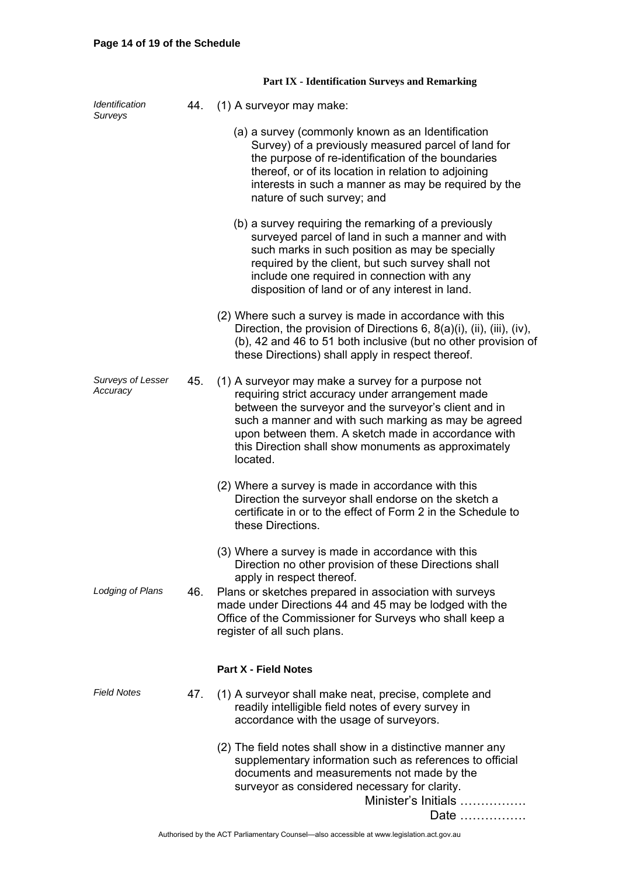|                                      |     | <b>Part IX - Identification Surveys and Remarking</b>                                                                                                                                                                                                                                                                                              |
|--------------------------------------|-----|----------------------------------------------------------------------------------------------------------------------------------------------------------------------------------------------------------------------------------------------------------------------------------------------------------------------------------------------------|
| Identification<br><b>Surveys</b>     | 44. | (1) A surveyor may make:                                                                                                                                                                                                                                                                                                                           |
|                                      |     | (a) a survey (commonly known as an Identification<br>Survey) of a previously measured parcel of land for<br>the purpose of re-identification of the boundaries<br>thereof, or of its location in relation to adjoining<br>interests in such a manner as may be required by the<br>nature of such survey; and                                       |
|                                      |     | (b) a survey requiring the remarking of a previously<br>surveyed parcel of land in such a manner and with<br>such marks in such position as may be specially<br>required by the client, but such survey shall not<br>include one required in connection with any<br>disposition of land or of any interest in land.                                |
|                                      |     | (2) Where such a survey is made in accordance with this<br>Direction, the provision of Directions 6, $8(a)(i)$ , (ii), (iii), (iv),<br>(b), 42 and 46 to 51 both inclusive (but no other provision of<br>these Directions) shall apply in respect thereof.                                                                                         |
| <b>Surveys of Lesser</b><br>Accuracy | 45. | (1) A surveyor may make a survey for a purpose not<br>requiring strict accuracy under arrangement made<br>between the surveyor and the surveyor's client and in<br>such a manner and with such marking as may be agreed<br>upon between them. A sketch made in accordance with<br>this Direction shall show monuments as approximately<br>located. |
|                                      |     | (2) Where a survey is made in accordance with this<br>Direction the surveyor shall endorse on the sketch a<br>certificate in or to the effect of Form 2 in the Schedule to<br>these Directions.                                                                                                                                                    |
|                                      |     | (3) Where a survey is made in accordance with this<br>Direction no other provision of these Directions shall<br>apply in respect thereof.                                                                                                                                                                                                          |
| Lodging of Plans                     | 46. | Plans or sketches prepared in association with surveys<br>made under Directions 44 and 45 may be lodged with the<br>Office of the Commissioner for Surveys who shall keep a<br>register of all such plans.                                                                                                                                         |
|                                      |     | <b>Part X - Field Notes</b>                                                                                                                                                                                                                                                                                                                        |
| <b>Field Notes</b>                   | 47. | (1) A surveyor shall make neat, precise, complete and<br>readily intelligible field notes of every survey in<br>accordance with the usage of surveyors.                                                                                                                                                                                            |
|                                      |     | (2) The field notes shall show in a distinctive manner any<br>supplementary information such as references to official<br>documents and measurements not made by the<br>surveyor as considered necessary for clarity.<br>Minister's Initials<br>Date                                                                                               |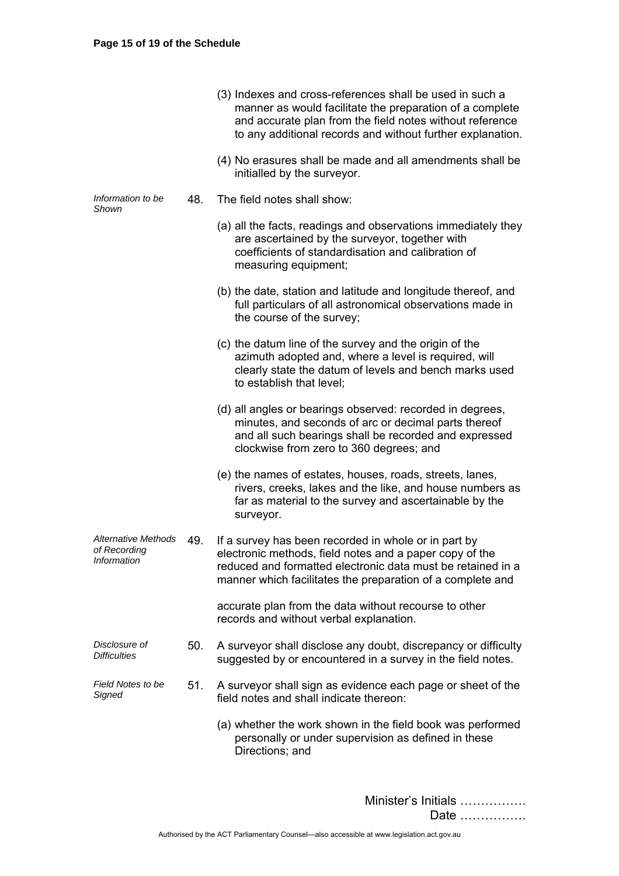|                                                           |     | (3) Indexes and cross-references shall be used in such a<br>manner as would facilitate the preparation of a complete<br>and accurate plan from the field notes without reference<br>to any additional records and without further explanation. |
|-----------------------------------------------------------|-----|------------------------------------------------------------------------------------------------------------------------------------------------------------------------------------------------------------------------------------------------|
|                                                           |     | (4) No erasures shall be made and all amendments shall be<br>initialled by the surveyor.                                                                                                                                                       |
| Information to be<br>Shown                                | 48. | The field notes shall show:                                                                                                                                                                                                                    |
|                                                           |     | (a) all the facts, readings and observations immediately they<br>are ascertained by the surveyor, together with<br>coefficients of standardisation and calibration of<br>measuring equipment;                                                  |
|                                                           |     | (b) the date, station and latitude and longitude thereof, and<br>full particulars of all astronomical observations made in<br>the course of the survey;                                                                                        |
|                                                           |     | (c) the datum line of the survey and the origin of the<br>azimuth adopted and, where a level is required, will<br>clearly state the datum of levels and bench marks used<br>to establish that level;                                           |
|                                                           |     | (d) all angles or bearings observed: recorded in degrees,<br>minutes, and seconds of arc or decimal parts thereof<br>and all such bearings shall be recorded and expressed<br>clockwise from zero to 360 degrees; and                          |
|                                                           |     | (e) the names of estates, houses, roads, streets, lanes,<br>rivers, creeks, lakes and the like, and house numbers as<br>far as material to the survey and ascertainable by the<br>surveyor.                                                    |
| <b>Alternative Methods</b><br>of Recording<br>Information | 49. | If a survey has been recorded in whole or in part by<br>electronic methods, field notes and a paper copy of the<br>reduced and formatted electronic data must be retained in a<br>manner which facilitates the preparation of a complete and   |
|                                                           |     | accurate plan from the data without recourse to other<br>records and without verbal explanation.                                                                                                                                               |
| Disclosure of<br><b>Difficulties</b>                      | 50. | A surveyor shall disclose any doubt, discrepancy or difficulty<br>suggested by or encountered in a survey in the field notes.                                                                                                                  |
| Field Notes to be<br>Signed                               | 51. | A surveyor shall sign as evidence each page or sheet of the<br>field notes and shall indicate thereon:                                                                                                                                         |
|                                                           |     | (a) whether the work shown in the field book was performed<br>personally or under supervision as defined in these<br>Directions; and                                                                                                           |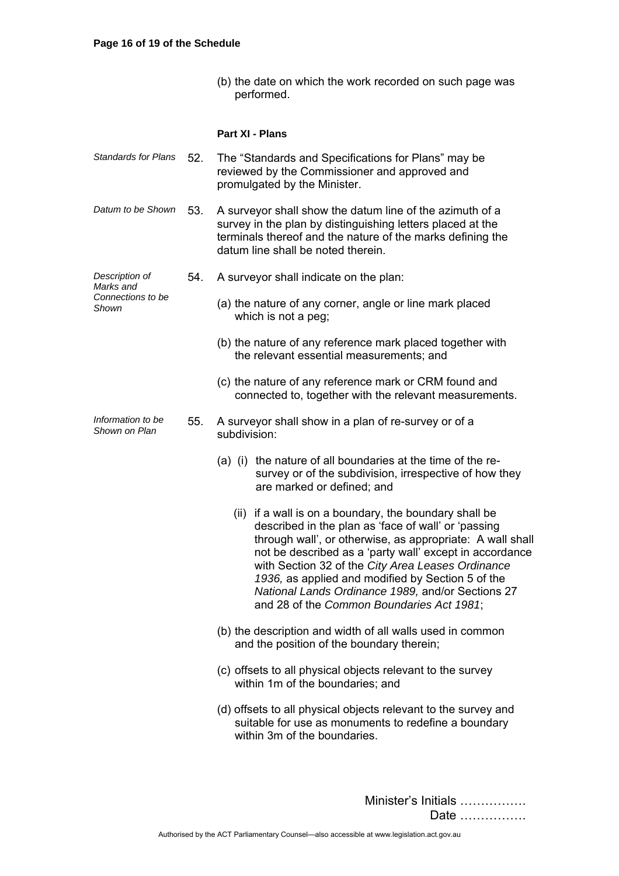(b) the date on which the work recorded on such page was performed.

## **Part XI - Plans**

| <b>Standards for Plans</b>                                | 52. | The "Standards and Specifications for Plans" may be<br>reviewed by the Commissioner and approved and<br>promulgated by the Minister.                                                                                                                                                                                                                                                                                                              |
|-----------------------------------------------------------|-----|---------------------------------------------------------------------------------------------------------------------------------------------------------------------------------------------------------------------------------------------------------------------------------------------------------------------------------------------------------------------------------------------------------------------------------------------------|
| Datum to be Shown                                         | 53. | A surveyor shall show the datum line of the azimuth of a<br>survey in the plan by distinguishing letters placed at the<br>terminals thereof and the nature of the marks defining the<br>datum line shall be noted therein.                                                                                                                                                                                                                        |
| Description of<br>Marks and<br>Connections to be<br>Shown | 54. | A surveyor shall indicate on the plan:                                                                                                                                                                                                                                                                                                                                                                                                            |
|                                                           |     | (a) the nature of any corner, angle or line mark placed<br>which is not a peg;                                                                                                                                                                                                                                                                                                                                                                    |
|                                                           |     | (b) the nature of any reference mark placed together with<br>the relevant essential measurements; and                                                                                                                                                                                                                                                                                                                                             |
|                                                           |     | (c) the nature of any reference mark or CRM found and<br>connected to, together with the relevant measurements.                                                                                                                                                                                                                                                                                                                                   |
| Information to be<br>Shown on Plan                        | 55. | A surveyor shall show in a plan of re-survey or of a<br>subdivision:                                                                                                                                                                                                                                                                                                                                                                              |
|                                                           |     | (a) (i) the nature of all boundaries at the time of the re-<br>survey or of the subdivision, irrespective of how they<br>are marked or defined; and                                                                                                                                                                                                                                                                                               |
|                                                           |     | (ii) if a wall is on a boundary, the boundary shall be<br>described in the plan as 'face of wall' or 'passing<br>through wall', or otherwise, as appropriate: A wall shall<br>not be described as a 'party wall' except in accordance<br>with Section 32 of the City Area Leases Ordinance<br>1936, as applied and modified by Section 5 of the<br>National Lands Ordinance 1989, and/or Sections 27<br>and 28 of the Common Boundaries Act 1981; |
|                                                           |     | (b) the description and width of all walls used in common<br>and the position of the boundary therein;                                                                                                                                                                                                                                                                                                                                            |
|                                                           |     | (c) offsets to all physical objects relevant to the survey<br>within 1m of the boundaries; and                                                                                                                                                                                                                                                                                                                                                    |
|                                                           |     | (d) offsets to all physical objects relevant to the survey and<br>suitable for use as monuments to redefine a boundary<br>within 3m of the boundaries.                                                                                                                                                                                                                                                                                            |
|                                                           |     |                                                                                                                                                                                                                                                                                                                                                                                                                                                   |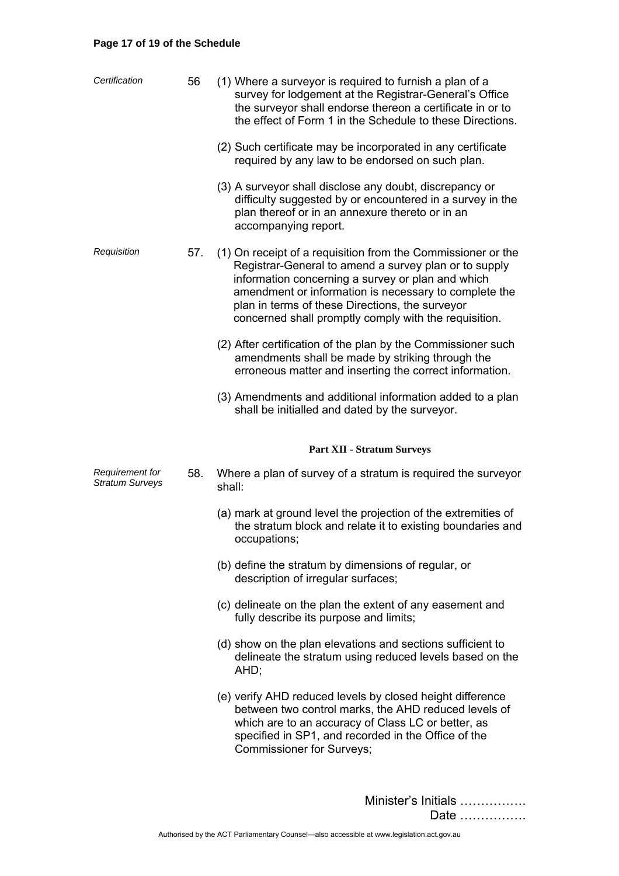# **Page 17 of 19 of the Schedule**

| Certification                             | 56  | (1) Where a surveyor is required to furnish a plan of a<br>survey for lodgement at the Registrar-General's Office<br>the surveyor shall endorse thereon a certificate in or to<br>the effect of Form 1 in the Schedule to these Directions.<br>(2) Such certificate may be incorporated in any certificate<br>required by any law to be endorsed on such plan. |
|-------------------------------------------|-----|----------------------------------------------------------------------------------------------------------------------------------------------------------------------------------------------------------------------------------------------------------------------------------------------------------------------------------------------------------------|
|                                           |     | (3) A surveyor shall disclose any doubt, discrepancy or<br>difficulty suggested by or encountered in a survey in the<br>plan thereof or in an annexure thereto or in an<br>accompanying report.                                                                                                                                                                |
| Requisition                               | 57. | (1) On receipt of a requisition from the Commissioner or the<br>Registrar-General to amend a survey plan or to supply<br>information concerning a survey or plan and which<br>amendment or information is necessary to complete the<br>plan in terms of these Directions, the surveyor<br>concerned shall promptly comply with the requisition.                |
|                                           |     | (2) After certification of the plan by the Commissioner such<br>amendments shall be made by striking through the<br>erroneous matter and inserting the correct information.                                                                                                                                                                                    |
|                                           |     | (3) Amendments and additional information added to a plan<br>shall be initialled and dated by the surveyor.                                                                                                                                                                                                                                                    |
|                                           |     | <b>Part XII - Stratum Surveys</b>                                                                                                                                                                                                                                                                                                                              |
| Requirement for<br><b>Stratum Surveys</b> | 58. | Where a plan of survey of a stratum is required the surveyor<br>shall:                                                                                                                                                                                                                                                                                         |
|                                           |     | (a) mark at ground level the projection of the extremities of<br>the stratum block and relate it to existing boundaries and<br>occupations;                                                                                                                                                                                                                    |
|                                           |     | (b) define the stratum by dimensions of regular, or<br>description of irregular surfaces;                                                                                                                                                                                                                                                                      |
|                                           |     | (c) delineate on the plan the extent of any easement and                                                                                                                                                                                                                                                                                                       |
|                                           |     | fully describe its purpose and limits;                                                                                                                                                                                                                                                                                                                         |
|                                           |     | (d) show on the plan elevations and sections sufficient to<br>delineate the stratum using reduced levels based on the<br>AHD;                                                                                                                                                                                                                                  |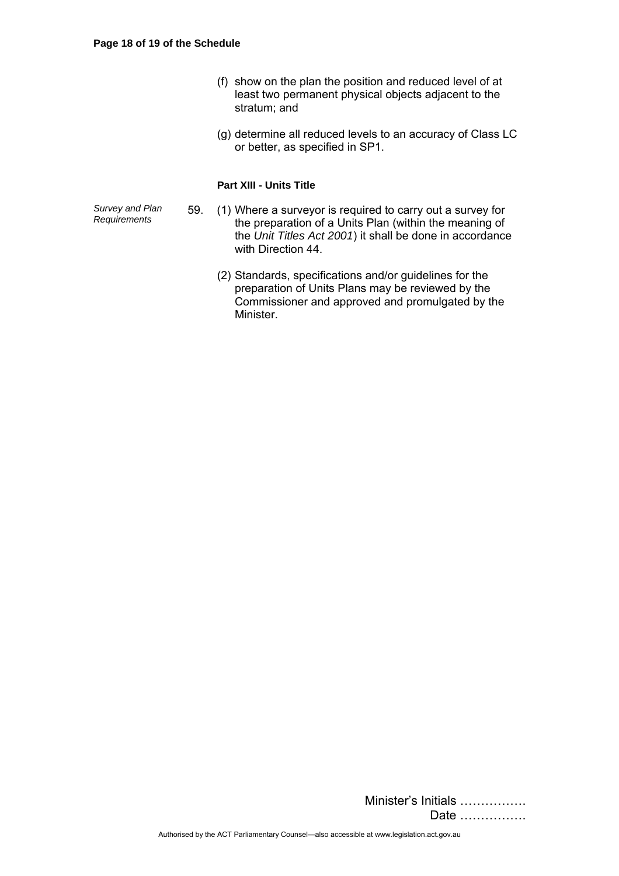- (f) show on the plan the position and reduced level of at least two permanent physical objects adjacent to the stratum; and
- (g) determine all reduced levels to an accuracy of Class LC or better, as specified in SP1.

## **Part XIII - Units Title**

*Survey and Plan* 

- *Requirements* 59. (1) Where a surveyor is required to carry out a survey for the preparation of a Units Plan (within the meaning of the *Unit Titles Act 2001*) it shall be done in accordance with Direction 44.
	- (2) Standards, specifications and/or guidelines for the preparation of Units Plans may be reviewed by the Commissioner and approved and promulgated by the Minister.